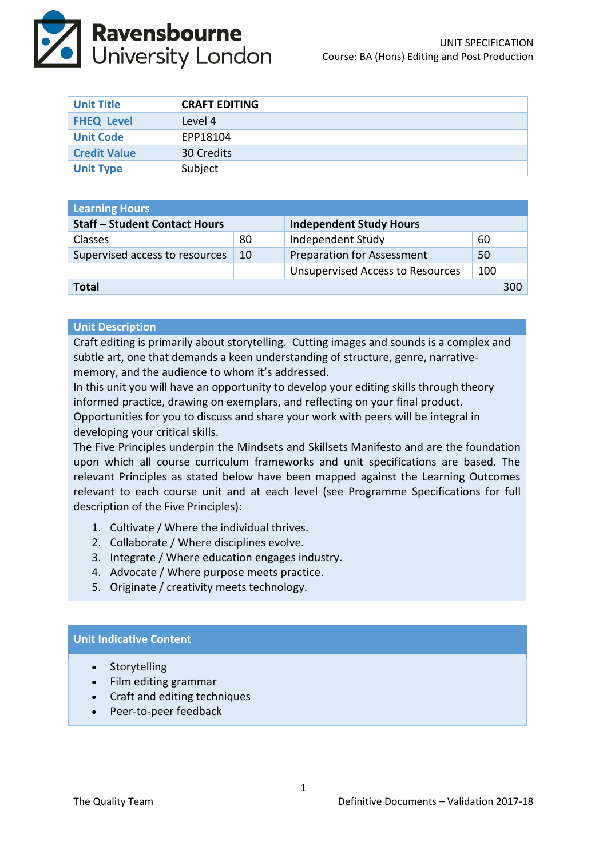

| <b>Unit Title</b>   | <b>CRAFT EDITING</b> |
|---------------------|----------------------|
| <b>FHEQ Level</b>   | Level 4              |
| <b>Unit Code</b>    | EPP18104             |
| <b>Credit Value</b> | 30 Credits           |
| <b>Unit Type</b>    | Subject              |

| <b>Learning Hours</b>                |    |                                         |     |  |  |
|--------------------------------------|----|-----------------------------------------|-----|--|--|
| <b>Staff - Student Contact Hours</b> |    | <b>Independent Study Hours</b>          |     |  |  |
| <b>Classes</b>                       | 80 | Independent Study                       | 60  |  |  |
| Supervised access to resources       | 10 | <b>Preparation for Assessment</b>       | 50  |  |  |
|                                      |    | <b>Unsupervised Access to Resources</b> | 100 |  |  |
| <b>Total</b>                         |    |                                         |     |  |  |

## **Unit Description**

Craft editing is primarily about storytelling. Cutting images and sounds is a complex and subtle art, one that demands a keen understanding of structure, genre, narrativememory, and the audience to whom it's addressed.

In this unit you will have an opportunity to develop your editing skills through theory informed practice, drawing on exemplars, and reflecting on your final product.

Opportunities for you to discuss and share your work with peers will be integral in developing your critical skills.

The Five Principles underpin the Mindsets and Skillsets Manifesto and are the foundation upon which all course curriculum frameworks and unit specifications are based. The relevant Principles as stated below have been mapped against the Learning Outcomes relevant to each course unit and at each level (see Programme Specifications for full description of the Five Principles):

- 1. Cultivate / Where the individual thrives.
- 2. Collaborate / Where disciplines evolve.
- 3. Integrate / Where education engages industry.
- 4. Advocate / Where purpose meets practice.
- 5. Originate / creativity meets technology.

# **Unit Indicative Content**

- Storytelling
- Film editing grammar
- Craft and editing techniques
- Peer-to-peer feedback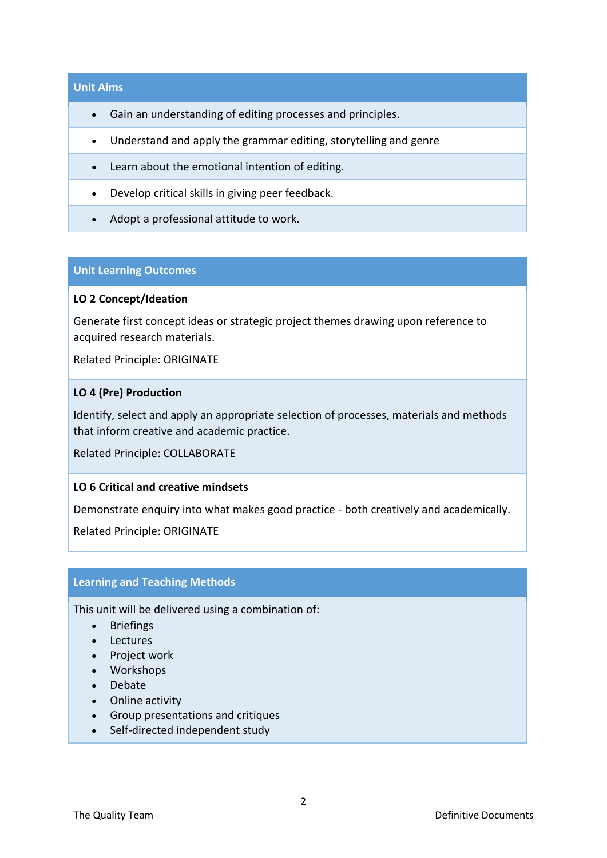## **Unit Aims**

- Gain an understanding of editing processes and principles.
- Understand and apply the grammar editing, storytelling and genre
- Learn about the emotional intention of editing.
- Develop critical skills in giving peer feedback.
- Adopt a professional attitude to work.

## **Unit Learning Outcomes**

## **LO 2 Concept/Ideation**

Generate first concept ideas or strategic project themes drawing upon reference to acquired research materials.

Related Principle: ORIGINATE

#### **LO 4 (Pre) Production**

Identify, select and apply an appropriate selection of processes, materials and methods that inform creative and academic practice.

Related Principle: COLLABORATE

# **LO 6 Critical and creative mindsets**

Demonstrate enquiry into what makes good practice - both creatively and academically.

Related Principle: ORIGINATE

## **Learning and Teaching Methods**

This unit will be delivered using a combination of:

- Briefings
- Lectures
- Project work
- Workshops
- Debate
- Online activity
- Group presentations and critiques
- Self-directed independent study